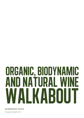# organic, biodynamic and natural wine WALKABOUT

Thursday 4th April 2012 **ROBERSON WINE**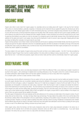## organic, biodynamic and natural wine preview

# organic wine

Organic wine refers to wine made from organic grapes. So, essentially what we are talking about with 'organic' is the way the fruit is farmed. There will be no chemical fertilisers, pesticides, fungicides or herbicides and the treatments that are applied throughout the viticultural year will be accredited by one of the official organic bodies. It is worth remembering that many 'commercial' vineyards (mass-production may be a better way to put it) will have all sorts of chemical treatments sprayed over the plants. Why? Well, because it helps the fruit to grow in larger quantities and in some instances can protect the vine from diseases and other maladies. Basically, it means everything can be done by machine and you don't need to spend any time tending to your plants on a vine-by-vine basis. It is a dangerous game to play though, because many of the treatments become addictive for the plants and result in much weaker vines that need the treatments in order to survive or give a large yield. Sleeping pills will make you sleep, but taking them everyday is not good news for your body!

Organic farming eschews most of these modern chemical treatments and focuses on applying environmentally friendly ones that are good for the vineyard and good for the planet. Adherents to this form of sustainable agriculture will often be denoted on the labels by the logo of the body that accredits them (each country has different ones), but there are also many farmers/winemakers that follow organic principles but for one reason or another they haven't applied for accreditation.

The above relates to the vast majority of organic wines around the world, but there is one notable exception - the USA. To be fully accredited by their National Organic Program there must be no added sulphites in the winery either (so halfway to being a natural wine then....). But, don't worry about that too much - to all intents and purposes, organic wines are wines made (and that could be conventionally made) from organic grapes.

# biodynamic wine

OK, so we know what organic wine is, but what about biodynamic wine? What's the difference? Well, a very simple way to explain it would be to say that it is like organic+, with a whole layer of (slightly bizarre sounding) philosophy on top. The system comes from a series of lectures given by an Austrian philosopher called Rudolph Steiner and has been applied to viticulture, as it has to many other forms of agriculture. It is a complex system, but here is a basic overview of what it entails:

The central idea is that the different components of the eco-system (ie the soil, grass, plants, trees etc)) must be healthy and operate in harmony, so as with organic viticulture there are no synthetic materials used during the cultivation of the vineyard. In order to promote the balance between elements, the farmer will apply a variety of 'preparations' (there are 9 in total) that are designed to improve the life and health of the soil. The preparations are homeopathic in character and made using a 'dynamiser' which stirs the liquid in order to energise and activate the treatment. Some of the treatments are more famous than others - the most notorious one is prepared by fermenting cow dung in a horn, burying it in a corner of the vineyard over winter and then adding water, dynamizing and spraying. There are a few other wacky ones, but others of a more conventional nature such as teas (herbal and green varieties). Most of them are applied to the organic compost which is used as fertiliser in the vineyard, but some of them are used as sprays that are applied to the plants.

The other aspect of biodynamics is the lunar calendar and the strict adherence to it for carrying out certain tasks in the vineyard or winery. To put it simply, there are four kinds of day - root days, fruit days, flower days and leaf days. The days relate to the position of the moon and the idea is that this will have a distinct effect of the atmosphere in the eco-system/winery, impacting on the position of sap in the plant or the movement of lees in barrels and tanks. Therefore, a root day is ideal for planting vines while a leaf day is best for pruning. Practitioners of biodynamics also maintain that the different days will have an impact on the taste of wines and many wine geeks have attempted to test the theory by tasting the same group of wines on each of the different days. Nothing conclusive has yet been proven.....

Unlike organic wines, where the farming is all that counts, biodynamic wines will be made using biodynamic principles in the winery too, in accordance with the calendar. But to all intents and purposes, biodynamic wines can still be made in a conventional way - if you want natural processes in the winery then you need to move on a step further and embrace natural wines.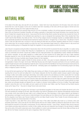## organic, biodynamic and natural wine preview

# natural wine

In the oldest of the olden days, wine was left to its own devices - indeed, that's how it was discovered in the first place. Grow some vines and harvest their fruit. Crush the grapes in some sort of container, leave them macerating on their skins until the juice begins to ferment and once nature has taken its course, pour it into a glass and away you go.

Fast forward to the 80s/90s and obviously things had got a lot more complicated, resulting in the technical approach pioneered by students of Davis (USA) and Rosemount (Australia) Universities, and creating a generation of winemakers that thought themselves more important than their terroir (if indeed their vineyards had any terroir). It was around this time that the New World countries had well and truly knocked the French off their perch and many vignerons in the motherland were searching for a way to reinvigorate their businesses. Most of them decided that if they couldn't beat the New Worlders, they better join them. The Vin de Pays category became increasingly important, as varietally labelled wines that were mechanically harvested and chemically farmed reached the market as the likes of 'Arrogant Frog' or 'Chat en Oeuf'. This attempt to rival the Jacob's Creek and Gallo wines was a success for many and relaxing the label laws and production regulations allowed the French to recapture some market share. But not everyone wanted to go down this road. Some winemakers began looking for a different banner to rally around and there was something going on in Beaujolais that caught the imagination of many young vignerons across the country.

Jules Chauvet is recognised as being the father of natural wines. Back in the 50s and 60s he pioneered the idea of using little or no sulphur during the production process (not to mention other things like no chaptalization etc) and continued to research and develop his ideas throughout his career as a winemaker and chemist. Chauvet was a brilliant man who made great strides in the understanding of yeasts, malolactic fermentations and carbonic maceration. He was widely regarded as a brilliant taster (he even invented the ISO tasting glass) and was a highly respected Beaujolais negociant for most of his life, although his ideas on sulphur were treated with suspicion by the region's rank and file winemakers, most of whom looked to the king of synthetic wines, Georges Duboeuf, for their inspiration.

In 1973 a man called Marcel Lapierre inherited his family domaine and after a few years he became disillusioned with what he saw as a homogenisation of styles in the region. By the early 1980s Bojo Nouveau was at the height of its powers and thanks to the use of synthetic yeasts, Lapierre thought everyone's wine was beginning to taste the same. It was around this time that Marcel met Chauvet and became enamoured by his ideas on winemaking. Marcel decided to jump in with both feet - eliminating sulphur and chaptalisation from his winemaking program and relying solely on indigenous yeasts in the winery.

So how did this bold experiment go? Well, initially things were looking up for Marcel. His wines gained many plaudits and pretty quickly he was exporting them all over the world and selling them to top Parisian restaurants. But then the problems started, because Lapierre's wines began to change in bottle. Some bottles would begin refermenting. Some bottles would be fine (and delicious) but others would suffer from microbial contamination and other problems. It wasn't long before Marcel had to deal with a raft of complaints and returns - the experiment wasn't going too well. By this time though, his (and of course Chauvet's) ideas were being talked about across the region and Lapierre had found some fellow devotees. Something had to change though, and Lapierre tweaked his winemaking to encourage more of the wine's natural protection (ie longer lees contact and prolonged elevage) and adjusted the use of sulphur to introduce minimal additions at the time of bottling. These slight tweaks resulted in wines that were much more stable, and soon Lapierre and his friends (Jean Foillard, Jean-Paul Thévenet and Guy Breton) became known as the 'Gang of Four' - they were to change France's wine scene forever.

By the late 80s and early 90s, the gang of four had begun to get international recognition for their wines and importers like Kermit Lynch in the USA were spreading the message far and wide. Japan was already a big market for Beaujolais and the Japanese enthusiastically embraced these more complex, terroir driven wines that were made in such a stripped back way. Other winemakers in other regions started to get interested in what was going on and began to use the same or similar techniques. Sons were taking over from fathers all over France and, particularly in places like the Languedoc (Leon Barral, Jean-Francois Coutelou) and the Loire Valley (Claude Courtois, Thierry Puzelat), the were embracing organic or biodynamic viticulture and minimal intervention in the winery.

It wasn't long before a chap called Pierre Jancou opened a wine shop in Paris called Caves Miard (also known as La Cremerie), which sold exclusively natural wines. Jancou was also the man behind Racines wine bar and is widely credited as starting the natural wine bar scene in Paris that brought the movement in to the public's consciousness. The city's oldest wine merchant - Caves d'Augé - decided to follow Jancou's lead and move towards promoting natural wines and a number of other cavistes, wine bars and restaurants have emerged in the past decade to establish Paris as the centre of the world's natural wine scene. Recent additions to London's wine bar/restaurant scene like Terroirs, Battu and Brawn are all spin offs from the Parisian movement and the same is happening in New York and Tokyo.